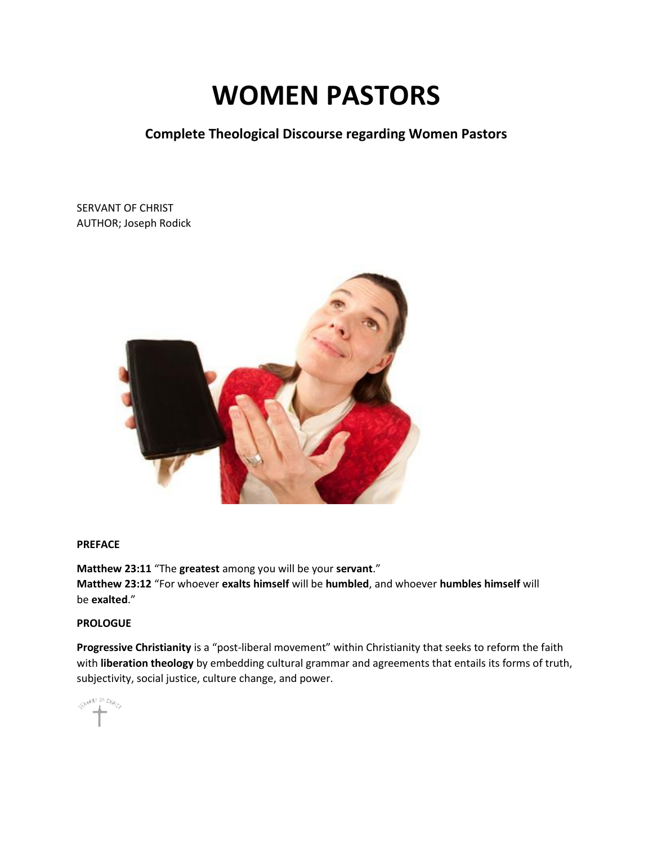# **WOMEN PASTORS**

**Complete Theological Discourse regarding Women Pastors**

SERVANT OF CHRIST AUTHOR; Joseph Rodick



# **PREFACE**

**Matthew 23:11** "The **greatest** among you will be your **servant**." **Matthew 23:12** "For whoever **exalts himself** will be **humbled**, and whoever **humbles himself** will be **exalted**."

# **PROLOGUE**

**Progressive Christianity** is a "post-liberal movement" within Christianity that seeks to reform the faith with **liberation theology** by embedding cultural grammar and agreements that entails its forms of truth, subjectivity, social justice, culture change, and power.

SHAMP OF CHANGE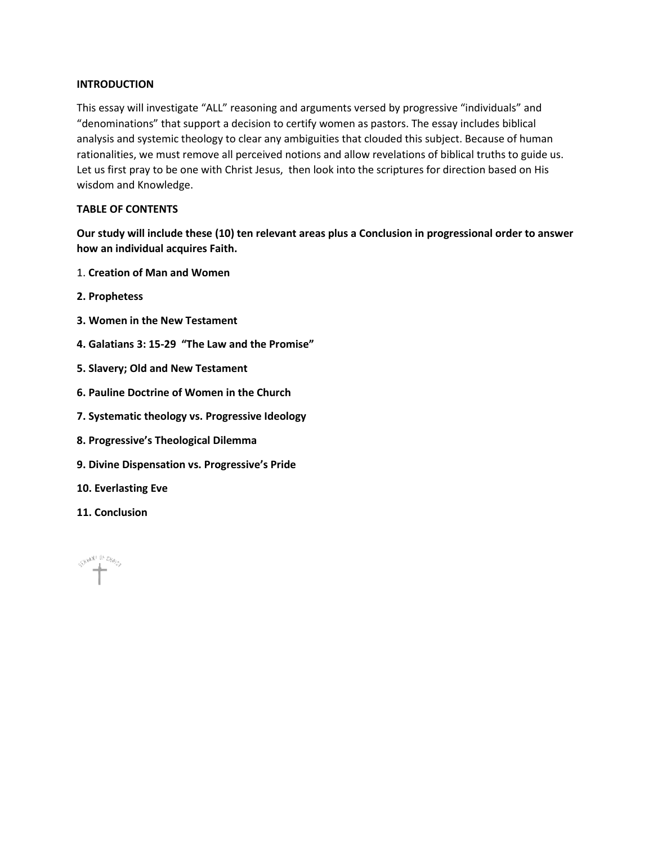#### **INTRODUCTION**

This essay will investigate "ALL" reasoning and arguments versed by progressive "individuals" and "denominations" that support a decision to certify women as pastors. The essay includes biblical analysis and systemic theology to clear any ambiguities that clouded this subject. Because of human rationalities, we must remove all perceived notions and allow revelations of biblical truths to guide us. Let us first pray to be one with Christ Jesus, then look into the scriptures for direction based on His wisdom and Knowledge.

#### **TABLE OF CONTENTS**

**Our study will include these (10) ten relevant areas plus a Conclusion in progressional order to answer how an individual acquires Faith.**

- 1. **Creation of Man and Women**
- **2. Prophetess**
- **3. Women in the New Testament**
- **4. Galatians 3: 15-29 "The Law and the Promise"**
- **5. Slavery; Old and New Testament**
- **6. Pauline Doctrine of Women in the Church**
- **7. Systematic theology vs. Progressive Ideology**
- **8. Progressive's Theological Dilemma**
- **9. Divine Dispensation vs. Progressive's Pride**
- **10. Everlasting Eve**
- **11. Conclusion**

SHANT IN DAYS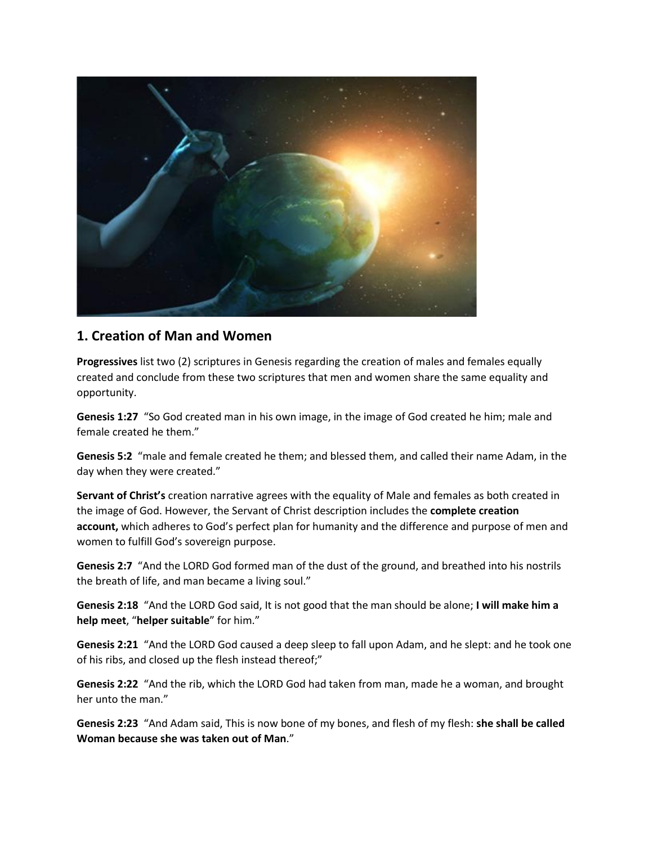

# **1. Creation of Man and Women**

**Progressives** list two (2) scriptures in Genesis regarding the creation of males and females equally created and conclude from these two scriptures that men and women share the same equality and opportunity.

**Genesis 1:27** "So God created man in his own image, in the image of God created he him; male and female created he them."

**Genesis 5:2** "male and female created he them; and blessed them, and called their name Adam, in the day when they were created."

**Servant of Christ's** creation narrative agrees with the equality of Male and females as both created in the image of God. However, the Servant of Christ description includes the **complete creation account,** which adheres to God's perfect plan for humanity and the difference and purpose of men and women to fulfill God's sovereign purpose.

**Genesis 2:7** "And the LORD God formed man of the dust of the ground, and breathed into his nostrils the breath of life, and man became a living soul."

**Genesis 2:18** "And the LORD God said, It is not good that the man should be alone; **I will make him a help meet**, "**helper suitable**" for him."

**Genesis 2:21** "And the LORD God caused a deep sleep to fall upon Adam, and he slept: and he took one of his ribs, and closed up the flesh instead thereof;"

**Genesis 2:22** "And the rib, which the LORD God had taken from man, made he a woman, and brought her unto the man."

**Genesis 2:23** "And Adam said, This is now bone of my bones, and flesh of my flesh: **she shall be called Woman because she was taken out of Man**."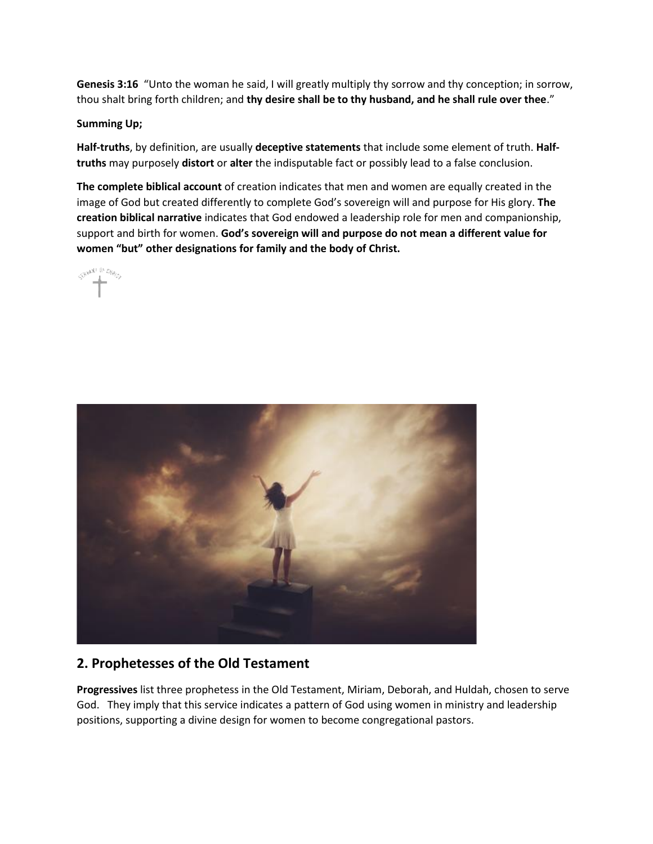**Genesis 3:16** "Unto the woman he said, I will greatly multiply thy sorrow and thy conception; in sorrow, thou shalt bring forth children; and **thy desire shall be to thy husband, and he shall rule over thee**."

# **Summing Up;**

**Half-truths**, by definition, are usually **deceptive statements** that include some element of truth. **Halftruths** may purposely **distort** or **alter** the indisputable fact or possibly lead to a false conclusion.

**The complete biblical account** of creation indicates that men and women are equally created in the image of God but created differently to complete God's sovereign will and purpose for His glory. **The creation biblical narrative** indicates that God endowed a leadership role for men and companionship, support and birth for women. **God's sovereign will and purpose do not mean a different value for women "but" other designations for family and the body of Christ.**





# **2. Prophetesses of the Old Testament**

**Progressives** list three prophetess in the Old Testament, Miriam, Deborah, and Huldah, chosen to serve God. They imply that this service indicates a pattern of God using women in ministry and leadership positions, supporting a divine design for women to become congregational pastors.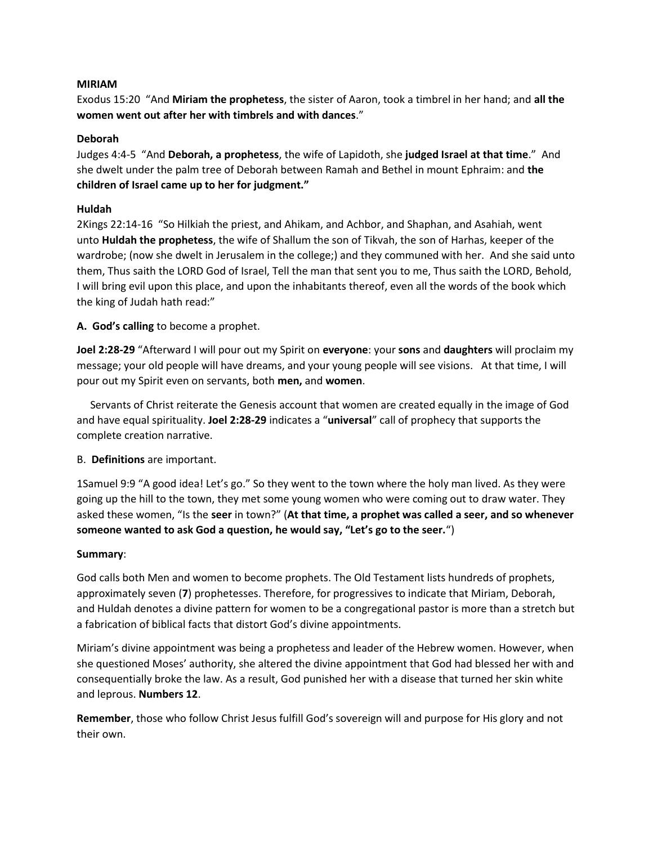#### **MIRIAM**

Exodus 15:20 "And **Miriam the prophetess**, the sister of Aaron, took a timbrel in her hand; and **all the women went out after her with timbrels and with dances**."

#### **Deborah**

Judges 4:4-5 "And **Deborah, a prophetess**, the wife of Lapidoth, she **judged Israel at that time**." And she dwelt under the palm tree of Deborah between Ramah and Bethel in mount Ephraim: and **the children of Israel came up to her for judgment."**

# **Huldah**

2Kings 22:14-16 "So Hilkiah the priest, and Ahikam, and Achbor, and Shaphan, and Asahiah, went unto **Huldah the prophetess**, the wife of Shallum the son of Tikvah, the son of Harhas, keeper of the wardrobe; (now she dwelt in Jerusalem in the college;) and they communed with her. And she said unto them, Thus saith the LORD God of Israel, Tell the man that sent you to me, Thus saith the LORD, Behold, I will bring evil upon this place, and upon the inhabitants thereof, even all the words of the book which the king of Judah hath read:"

**A. God's calling** to become a prophet.

**Joel 2:28-29** "Afterward I will pour out my Spirit on **everyone**: your **sons** and **daughters** will proclaim my message; your old people will have dreams, and your young people will see visions. At that time, I will pour out my Spirit even on servants, both **men,** and **women**.

Servants of Christ reiterate the Genesis account that women are created equally in the image of God and have equal spirituality. **Joel 2:28-29** indicates a "**universal**" call of prophecy that supports the complete creation narrative.

# B. **Definitions** are important.

1Samuel 9:9 "A good idea! Let's go." So they went to the town where the holy man lived. As they were going up the hill to the town, they met some young women who were coming out to draw water. They asked these women, "Is the **seer** in town?" (**At that time, a prophet was called a seer, and so whenever someone wanted to ask God a question, he would say, "Let's go to the seer.**")

# **Summary**:

God calls both Men and women to become prophets. The Old Testament lists hundreds of prophets, approximately seven (**7**) prophetesses. Therefore, for progressives to indicate that Miriam, Deborah, and Huldah denotes a divine pattern for women to be a congregational pastor is more than a stretch but a fabrication of biblical facts that distort God's divine appointments.

Miriam's divine appointment was being a prophetess and leader of the Hebrew women. However, when she questioned Moses' authority, she altered the divine appointment that God had blessed her with and consequentially broke the law. As a result, God punished her with a disease that turned her skin white and leprous. **Numbers 12**.

**Remember**, those who follow Christ Jesus fulfill God's sovereign will and purpose for His glory and not their own.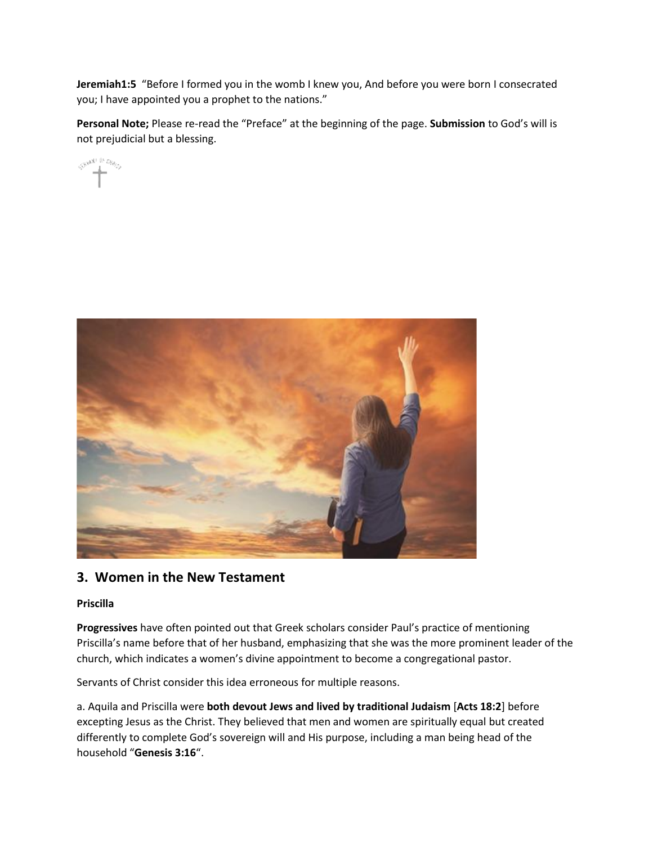**Jeremiah1:5** "Before I formed you in the womb I knew you, And before you were born I consecrated you; I have appointed you a prophet to the nations."

**Personal Note;** Please re-read the "Preface" at the beginning of the page. **Submission** to God's will is not prejudicial but a blessing.

CHANNELLING



# **3. Women in the New Testament**

# **Priscilla**

**Progressives** have often pointed out that Greek scholars consider Paul's practice of mentioning Priscilla's name before that of her husband, emphasizing that she was the more prominent leader of the church, which indicates a women's divine appointment to become a congregational pastor.

Servants of Christ consider this idea erroneous for multiple reasons.

a. Aquila and Priscilla were **both devout Jews and lived by traditional Judaism** [**Acts 18:2**] before excepting Jesus as the Christ. They believed that men and women are spiritually equal but created differently to complete God's sovereign will and His purpose, including a man being head of the household "**Genesis 3:16**".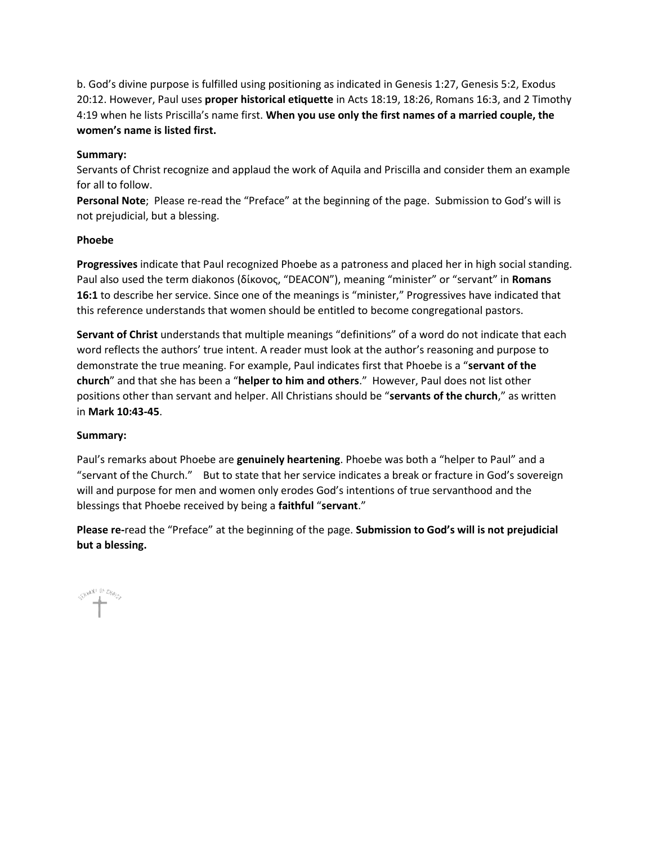b. God's divine purpose is fulfilled using positioning as indicated in Genesis 1:27, Genesis 5:2, Exodus 20:12. However, Paul uses **proper historical etiquette** in Acts 18:19, 18:26, Romans 16:3, and 2 Timothy 4:19 when he lists Priscilla's name first. **When you use only the first names of a married couple, the women's name is listed first.**

# **Summary:**

Servants of Christ recognize and applaud the work of Aquila and Priscilla and consider them an example for all to follow.

**Personal Note**; Please re-read the "Preface" at the beginning of the page. Submission to God's will is not prejudicial, but a blessing.

#### **Phoebe**

**Progressives** indicate that Paul recognized Phoebe as a patroness and placed her in high social standing. Paul also used the term diakonos (δίκονος, "DEACON"), meaning "minister" or "servant" in **Romans 16:1** to describe her service. Since one of the meanings is "minister," Progressives have indicated that this reference understands that women should be entitled to become congregational pastors.

**Servant of Christ** understands that multiple meanings "definitions" of a word do not indicate that each word reflects the authors' true intent. A reader must look at the author's reasoning and purpose to demonstrate the true meaning. For example, Paul indicates first that Phoebe is a "**servant of the church**" and that she has been a "**helper to him and others**." However, Paul does not list other positions other than servant and helper. All Christians should be "**servants of the church**," as written in **Mark 10:43-45**.

# **Summary:**

Paul's remarks about Phoebe are **genuinely heartening**. Phoebe was both a "helper to Paul" and a "servant of the Church." But to state that her service indicates a break or fracture in God's sovereign will and purpose for men and women only erodes God's intentions of true servanthood and the blessings that Phoebe received by being a **faithful** "**servant**."

**Please re-**read the "Preface" at the beginning of the page. **Submission to God's will is not prejudicial but a blessing.**

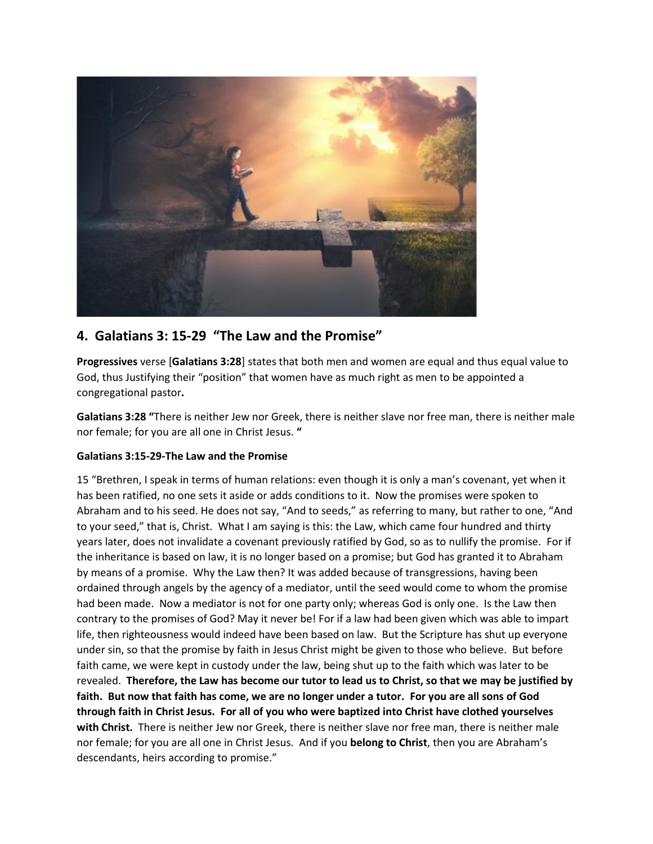

# **4. Galatians 3: 15-29 "The Law and the Promise"**

**Progressives** verse [**Galatians 3:28**] states that both men and women are equal and thus equal value to God, thus Justifying their "position" that women have as much right as men to be appointed a congregational pastor**.**

**Galatians 3:28 "**There is neither Jew nor Greek, there is neither slave nor free man, there is neither male nor female; for you are all one in Christ Jesus. **"**

# **Galatians 3:15-29-The Law and the Promise**

15 "Brethren, I speak in terms of human relations: even though it is only a man's covenant, yet when it has been ratified, no one sets it aside or adds conditions to it. Now the promises were spoken to Abraham and to his seed. He does not say, "And to seeds," as referring to many, but rather to one, "And to your seed," that is, Christ. What I am saying is this: the Law, which came four hundred and thirty years later, does not invalidate a covenant previously ratified by God, so as to nullify the promise. For if the inheritance is based on law, it is no longer based on a promise; but God has granted it to Abraham by means of a promise. Why the Law then? It was added because of transgressions, having been ordained through angels by the agency of a mediator, until the seed would come to whom the promise had been made. Now a mediator is not for one party only; whereas God is only one. Is the Law then contrary to the promises of God? May it never be! For if a law had been given which was able to impart life, then righteousness would indeed have been based on law. But the Scripture has shut up everyone under sin, so that the promise by faith in Jesus Christ might be given to those who believe. But before faith came, we were kept in custody under the law, being shut up to the faith which was later to be revealed. **Therefore, the Law has become our tutor to lead us to Christ, so that we may be justified by faith. But now that faith has come, we are no longer under a tutor. For you are all sons of God through faith in Christ Jesus. For all of you who were baptized into Christ have clothed yourselves with Christ.** There is neither Jew nor Greek, there is neither slave nor free man, there is neither male nor female; for you are all one in Christ Jesus. And if you **belong to Christ**, then you are Abraham's descendants, heirs according to promise."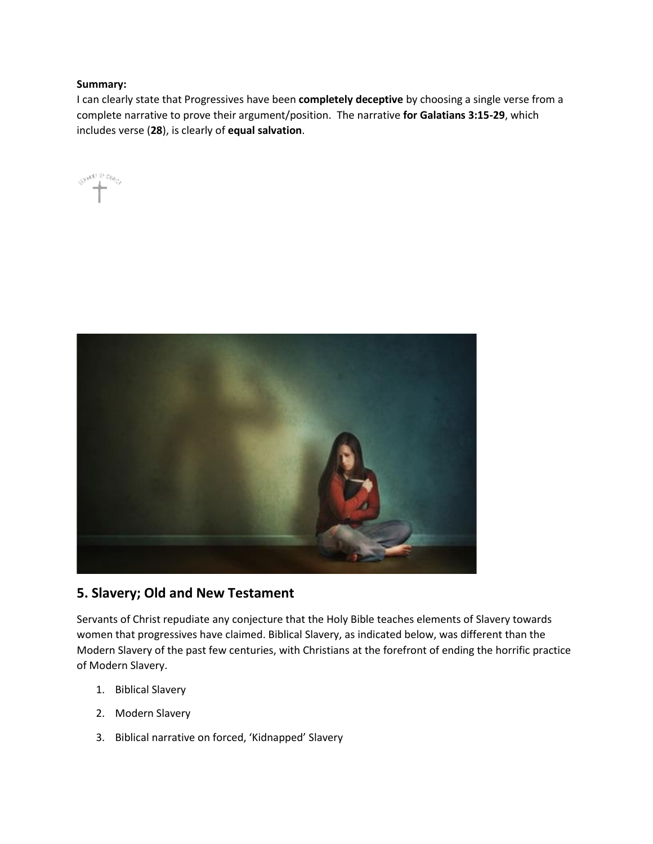# **Summary:**

I can clearly state that Progressives have been **completely deceptive** by choosing a single verse from a complete narrative to prove their argument/position. The narrative **for Galatians 3:15-29**, which includes verse (**28**), is clearly of **equal salvation**.





# **5. Slavery; Old and New Testament**

Servants of Christ repudiate any conjecture that the Holy Bible teaches elements of Slavery towards women that progressives have claimed. Biblical Slavery, as indicated below, was different than the Modern Slavery of the past few centuries, with Christians at the forefront of ending the horrific practice of Modern Slavery.

- 1. Biblical Slavery
- 2. Modern Slavery
- 3. Biblical narrative on forced, 'Kidnapped' Slavery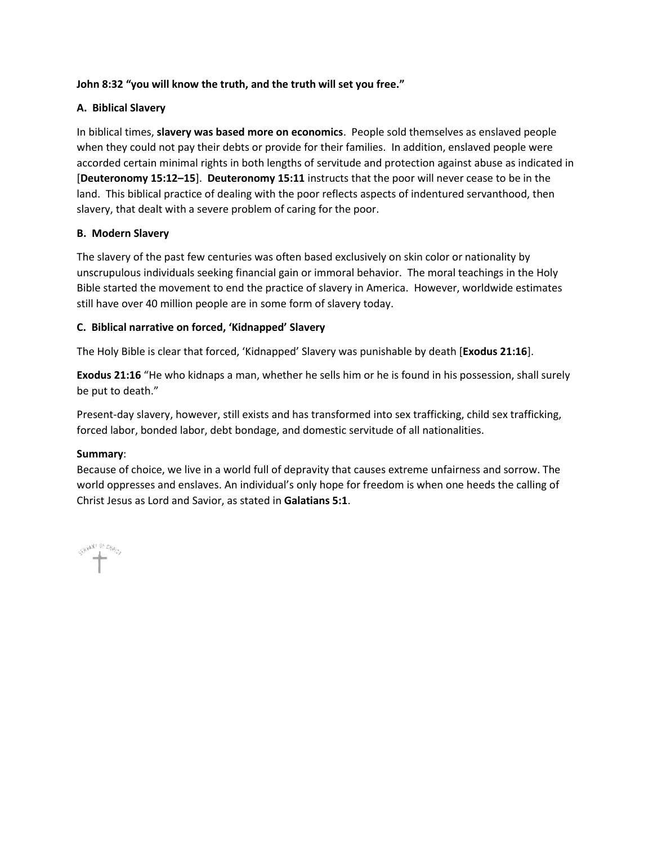# **John 8:32 "you will know the truth, and the truth will set you free."**

# **A. Biblical Slavery**

In biblical times, **slavery was based more on economics**. People sold themselves as enslaved people when they could not pay their debts or provide for their families. In addition, enslaved people were accorded certain minimal rights in both lengths of servitude and protection against abuse as indicated in [**Deuteronomy 15:12–15**]. **Deuteronomy 15:11** instructs that the poor will never cease to be in the land. This biblical practice of dealing with the poor reflects aspects of indentured servanthood, then slavery, that dealt with a severe problem of caring for the poor.

# **B. Modern Slavery**

The slavery of the past few centuries was often based exclusively on skin color or nationality by unscrupulous individuals seeking financial gain or immoral behavior. The moral teachings in the Holy Bible started the movement to end the practice of slavery in America. However, worldwide estimates still have over 40 million people are in some form of slavery today.

# **C. Biblical narrative on forced, 'Kidnapped' Slavery**

The Holy Bible is clear that forced, 'Kidnapped' Slavery was punishable by death [**Exodus 21:16**].

**Exodus 21:16** "He who kidnaps a man, whether he sells him or he is found in his possession, shall surely be put to death."

Present-day slavery, however, still exists and has transformed into sex trafficking, child sex trafficking, forced labor, bonded labor, debt bondage, and domestic servitude of all nationalities.

# **Summary**:

Because of choice, we live in a world full of depravity that causes extreme unfairness and sorrow. The world oppresses and enslaves. An individual's only hope for freedom is when one heeds the calling of Christ Jesus as Lord and Savior, as stated in **Galatians 5:1**.

SHAN IN CABOS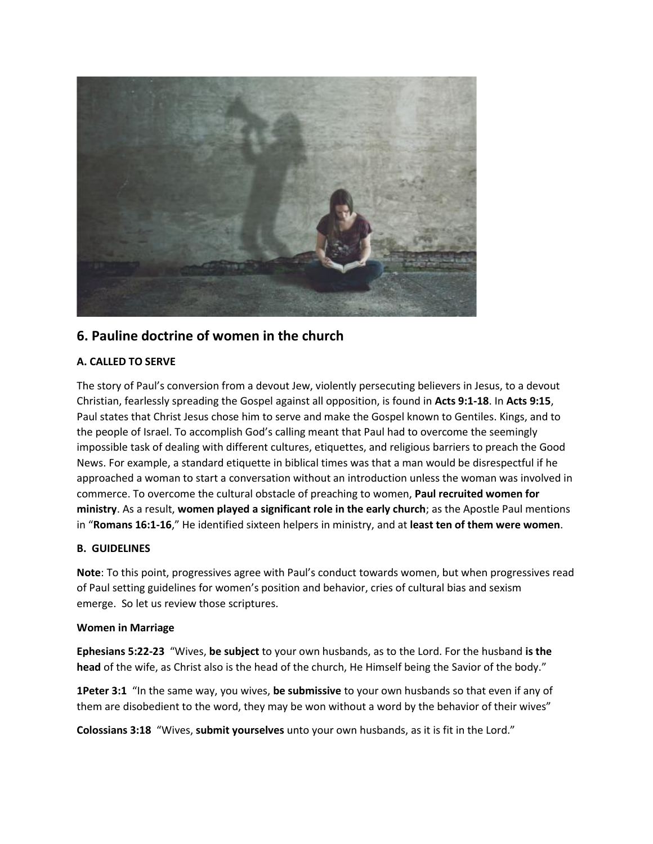

# **6. Pauline doctrine of women in the church**

# **A. CALLED TO SERVE**

The story of Paul's conversion from a devout Jew, violently persecuting believers in Jesus, to a devout Christian, fearlessly spreading the Gospel against all opposition, is found in **Acts 9:1-18**. In **Acts 9:15**, Paul states that Christ Jesus chose him to serve and make the Gospel known to Gentiles. Kings, and to the people of Israel. To accomplish God's calling meant that Paul had to overcome the seemingly impossible task of dealing with different cultures, etiquettes, and religious barriers to preach the Good News. For example, a standard etiquette in biblical times was that a man would be disrespectful if he approached a woman to start a conversation without an introduction unless the woman was involved in commerce. To overcome the cultural obstacle of preaching to women, **Paul recruited women for ministry**. As a result, **women played a significant role in the early church**; as the Apostle Paul mentions in "**Romans 16:1-16**," He identified sixteen helpers in ministry, and at **least ten of them were women**.

# **B. GUIDELINES**

**Note**: To this point, progressives agree with Paul's conduct towards women, but when progressives read of Paul setting guidelines for women's position and behavior, cries of cultural bias and sexism emerge. So let us review those scriptures.

# **Women in Marriage**

**Ephesians 5:22-23** "Wives, **be subject** to your own husbands, as to the Lord. For the husband **is the head** of the wife, as Christ also is the head of the church, He Himself being the Savior of the body."

**1Peter 3:1** "In the same way, you wives, **be submissive** to your own husbands so that even if any of them are disobedient to the word, they may be won without a word by the behavior of their wives"

**Colossians 3:18** "Wives, **submit yourselves** unto your own husbands, as it is fit in the Lord."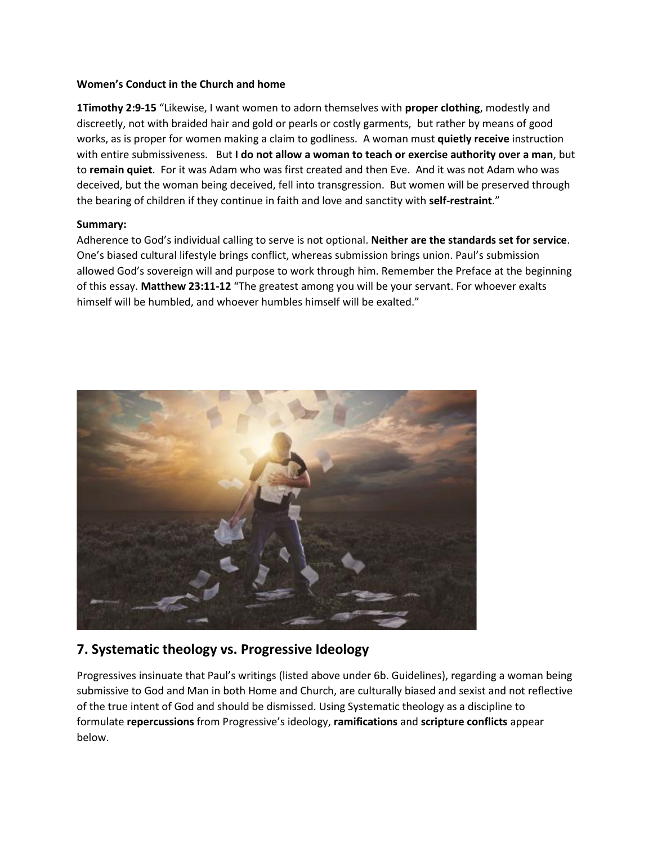#### **Women's Conduct in the Church and home**

**1Timothy 2:9-15** "Likewise, I want women to adorn themselves with **proper clothing**, modestly and discreetly, not with braided hair and gold or pearls or costly garments, but rather by means of good works, as is proper for women making a claim to godliness. A woman must **quietly receive** instruction with entire submissiveness. But **I do not allow a woman to teach or exercise authority over a man**, but to **remain quiet**. For it was Adam who was first created and then Eve. And it was not Adam who was deceived, but the woman being deceived, fell into transgression. But women will be preserved through the bearing of children if they continue in faith and love and sanctity with **self-restraint**."

# **Summary:**

Adherence to God's individual calling to serve is not optional. **Neither are the standards set for service**. One's biased cultural lifestyle brings conflict, whereas submission brings union. Paul's submission allowed God's sovereign will and purpose to work through him. Remember the Preface at the beginning of this essay. **Matthew 23:11-12** "The greatest among you will be your servant. For whoever exalts himself will be humbled, and whoever humbles himself will be exalted."



# **7. Systematic theology vs. Progressive Ideology**

Progressives insinuate that Paul's writings (listed above under 6b. Guidelines), regarding a woman being submissive to God and Man in both Home and Church, are culturally biased and sexist and not reflective of the true intent of God and should be dismissed. Using Systematic theology as a discipline to formulate **repercussions** from Progressive's ideology, **ramifications** and **scripture conflicts** appear below.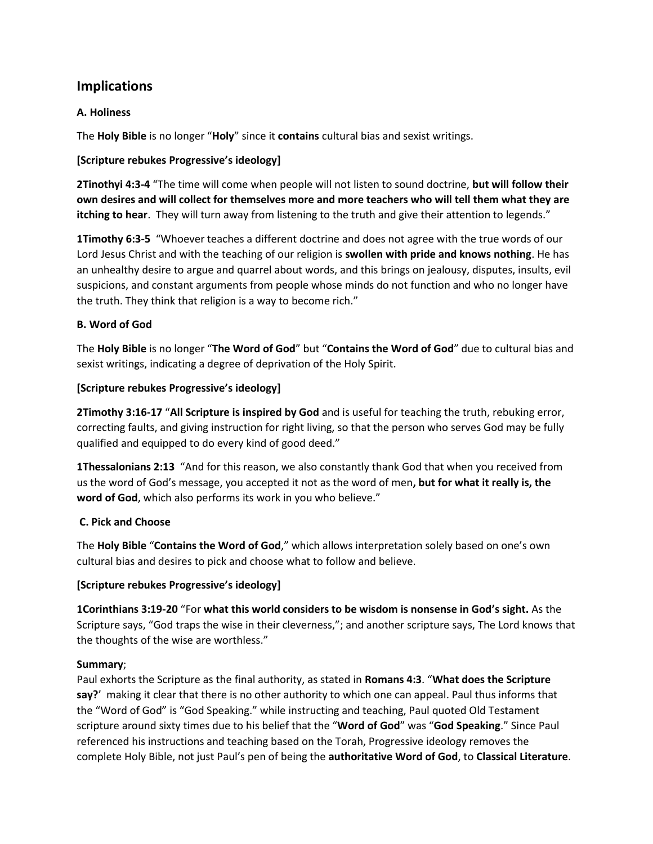# **Implications**

# **A. Holiness**

The **Holy Bible** is no longer "**Holy**" since it **contains** cultural bias and sexist writings.

# **[Scripture rebukes Progressive's ideology]**

**2Tinothyi 4:3-4** "The time will come when people will not listen to sound doctrine, **but will follow their own desires and will collect for themselves more and more teachers who will tell them what they are itching to hear**. They will turn away from listening to the truth and give their attention to legends."

**1Timothy 6:3-5** "Whoever teaches a different doctrine and does not agree with the true words of our Lord Jesus Christ and with the teaching of our religion is **swollen with pride and knows nothing**. He has an unhealthy desire to argue and quarrel about words, and this brings on jealousy, disputes, insults, evil suspicions, and constant arguments from people whose minds do not function and who no longer have the truth. They think that religion is a way to become rich."

# **B. Word of God**

The **Holy Bible** is no longer "**The Word of God**" but "**Contains the Word of God**" due to cultural bias and sexist writings, indicating a degree of deprivation of the Holy Spirit.

# **[Scripture rebukes Progressive's ideology]**

**2Timothy 3:16-17** "**All Scripture is inspired by God** and is useful for teaching the truth, rebuking error, correcting faults, and giving instruction for right living, so that the person who serves God may be fully qualified and equipped to do every kind of good deed."

**1Thessalonians 2:13** "And for this reason, we also constantly thank God that when you received from us the word of God's message, you accepted it not as the word of men**, but for what it really is, the word of God**, which also performs its work in you who believe."

# **C. Pick and Choose**

The **Holy Bible** "**Contains the Word of God**," which allows interpretation solely based on one's own cultural bias and desires to pick and choose what to follow and believe.

# **[Scripture rebukes Progressive's ideology]**

**1Corinthians 3:19-20** "For **what this world considers to be wisdom is nonsense in God's sight.** As the Scripture says, "God traps the wise in their cleverness,"; and another scripture says, The Lord knows that the thoughts of the wise are worthless."

# **Summary**;

Paul exhorts the Scripture as the final authority, as stated in **Romans 4:3**. "**What does the Scripture say?**' making it clear that there is no other authority to which one can appeal. Paul thus informs that the "Word of God" is "God Speaking." while instructing and teaching, Paul quoted Old Testament scripture around sixty times due to his belief that the "**Word of God**" was "**God Speaking**." Since Paul referenced his instructions and teaching based on the Torah, Progressive ideology removes the complete Holy Bible, not just Paul's pen of being the **authoritative Word of God**, to **Classical Literature**.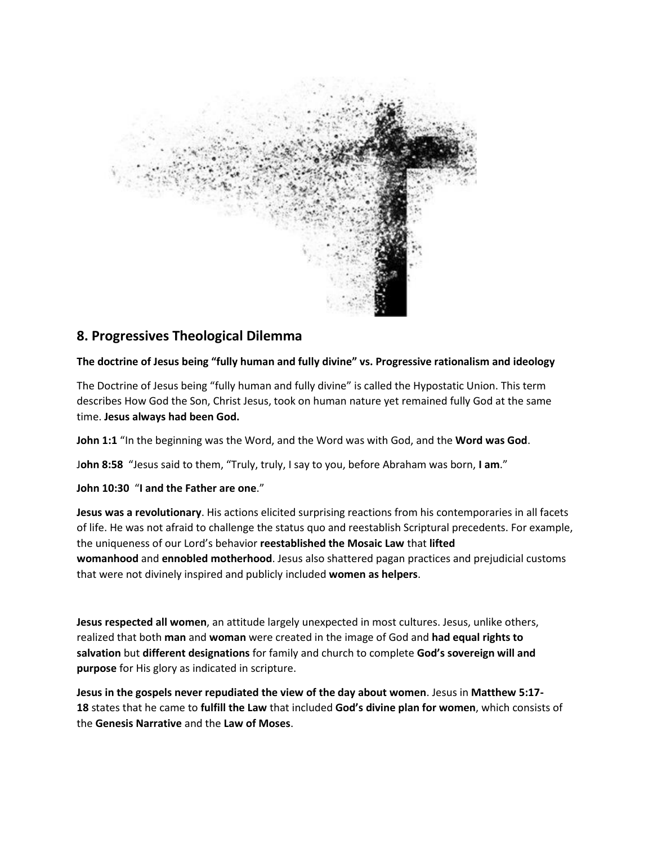

# **8. Progressives Theological Dilemma**

# **The doctrine of Jesus being "fully human and fully divine" vs. Progressive rationalism and ideology**

The Doctrine of Jesus being "fully human and fully divine" is called the Hypostatic Union. This term describes How God the Son, Christ Jesus, took on human nature yet remained fully God at the same time. **Jesus always had been God.**

**John 1:1** "In the beginning was the Word, and the Word was with God, and the **Word was God**.

J**ohn 8:58** "Jesus said to them, "Truly, truly, I say to you, before Abraham was born, **I am**."

**John 10:30** "**I and the Father are one**."

**Jesus was a revolutionary**. His actions elicited surprising reactions from his contemporaries in all facets of life. He was not afraid to challenge the status quo and reestablish Scriptural precedents. For example, the uniqueness of our Lord's behavior **reestablished the Mosaic Law** that **lifted womanhood** and **ennobled motherhood**. Jesus also shattered pagan practices and prejudicial customs that were not divinely inspired and publicly included **women as helpers**.

**Jesus respected all women**, an attitude largely unexpected in most cultures. Jesus, unlike others, realized that both **man** and **woman** were created in the image of God and **had equal rights to salvation** but **different designations** for family and church to complete **God's sovereign will and purpose** for His glory as indicated in scripture.

**Jesus in the gospels never repudiated the view of the day about women**. Jesus in **Matthew 5:17- 18** states that he came to **fulfill the Law** that included **God's divine plan for women**, which consists of the **Genesis Narrative** and the **Law of Moses**.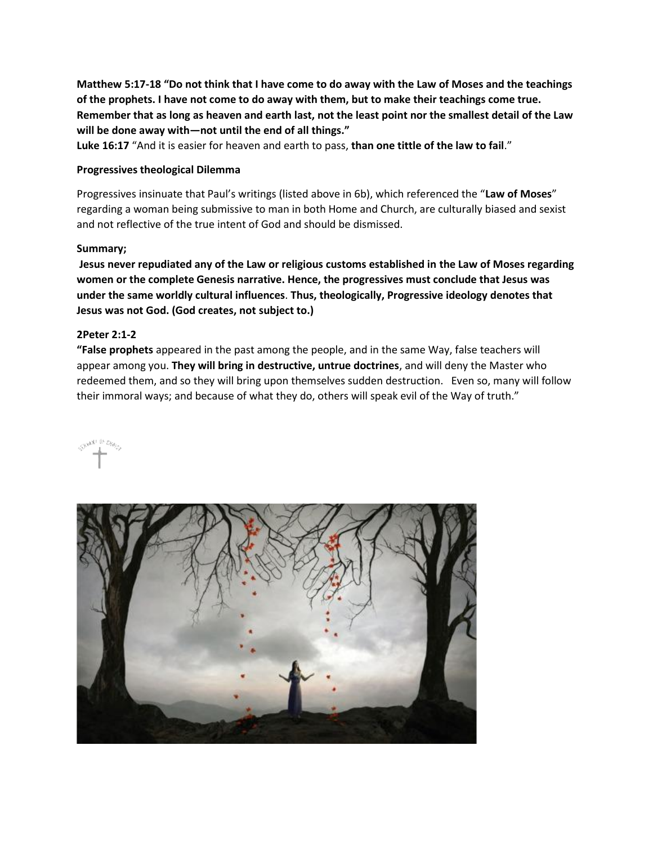**Matthew 5:17-18 "Do not think that I have come to do away with the Law of Moses and the teachings of the prophets. I have not come to do away with them, but to make their teachings come true. Remember that as long as heaven and earth last, not the least point nor the smallest detail of the Law will be done away with—not until the end of all things."**

**Luke 16:17** "And it is easier for heaven and earth to pass, **than one tittle of the law to fail**."

#### **Progressives theological Dilemma**

Progressives insinuate that Paul's writings (listed above in 6b), which referenced the "**Law of Moses**" regarding a woman being submissive to man in both Home and Church, are culturally biased and sexist and not reflective of the true intent of God and should be dismissed.

#### **Summary;**

**Jesus never repudiated any of the Law or religious customs established in the Law of Moses regarding women or the complete Genesis narrative. Hence, the progressives must conclude that Jesus was under the same worldly cultural influences**. **Thus, theologically, Progressive ideology denotes that Jesus was not God. (God creates, not subject to.)**

# **2Peter 2:1-2**

**"False prophets** appeared in the past among the people, and in the same Way, false teachers will appear among you. **They will bring in destructive, untrue doctrines**, and will deny the Master who redeemed them, and so they will bring upon themselves sudden destruction. Even so, many will follow their immoral ways; and because of what they do, others will speak evil of the Way of truth."



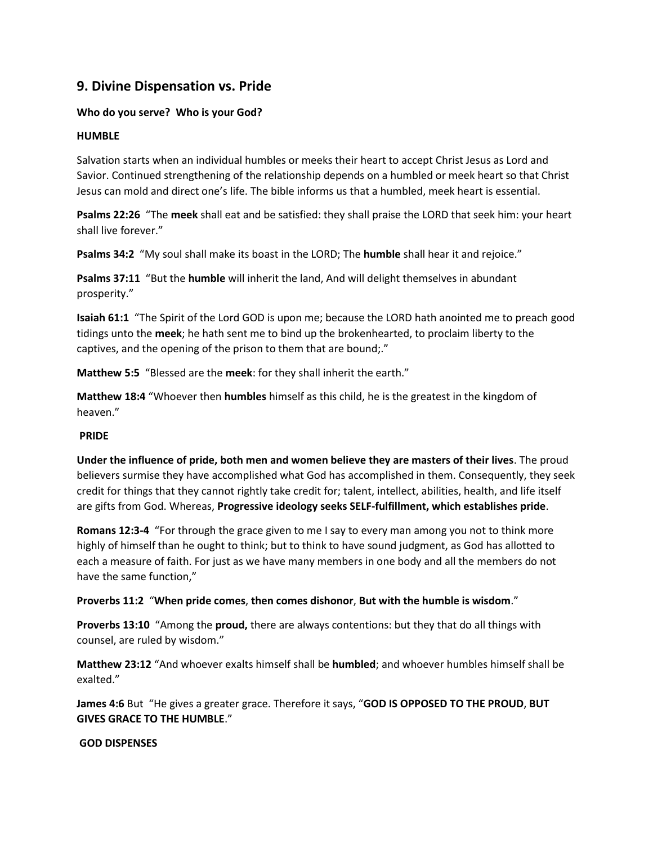# **9. Divine Dispensation vs. Pride**

# **Who do you serve? Who is your God?**

# **HUMBLE**

Salvation starts when an individual humbles or meeks their heart to accept Christ Jesus as Lord and Savior. Continued strengthening of the relationship depends on a humbled or meek heart so that Christ Jesus can mold and direct one's life. The bible informs us that a humbled, meek heart is essential.

**Psalms 22:26** "The **meek** shall eat and be satisfied: they shall praise the LORD that seek him: your heart shall live forever."

**Psalms 34:2** "My soul shall make its boast in the LORD; The **humble** shall hear it and rejoice."

**Psalms 37:11** "But the **humble** will inherit the land, And will delight themselves in abundant prosperity."

**Isaiah 61:1** "The Spirit of the Lord GOD is upon me; because the LORD hath anointed me to preach good tidings unto the **meek**; he hath sent me to bind up the brokenhearted, to proclaim liberty to the captives, and the opening of the prison to them that are bound;."

**Matthew 5:5** "Blessed are the **meek**: for they shall inherit the earth."

**Matthew 18:4** "Whoever then **humbles** himself as this child, he is the greatest in the kingdom of heaven."

# **PRIDE**

**Under the influence of pride, both men and women believe they are masters of their lives**. The proud believers surmise they have accomplished what God has accomplished in them. Consequently, they seek credit for things that they cannot rightly take credit for; talent, intellect, abilities, health, and life itself are gifts from God. Whereas, **Progressive ideology seeks SELF-fulfillment, which establishes pride**.

**Romans 12:3-4** "For through the grace given to me I say to every man among you not to think more highly of himself than he ought to think; but to think to have sound judgment, as God has allotted to each a measure of faith. For just as we have many members in one body and all the members do not have the same function,"

**Proverbs 11:2** "**When pride comes**, **then comes dishonor**, **But with the humble is wisdom**."

**Proverbs 13:10** "Among the **proud,** there are always contentions: but they that do all things with counsel, are ruled by wisdom."

**Matthew 23:12** "And whoever exalts himself shall be **humbled**; and whoever humbles himself shall be exalted."

**James 4:6** But "He gives a greater grace. Therefore it says, "**GOD IS OPPOSED TO THE PROUD**, **BUT GIVES GRACE TO THE HUMBLE**."

**GOD DISPENSES**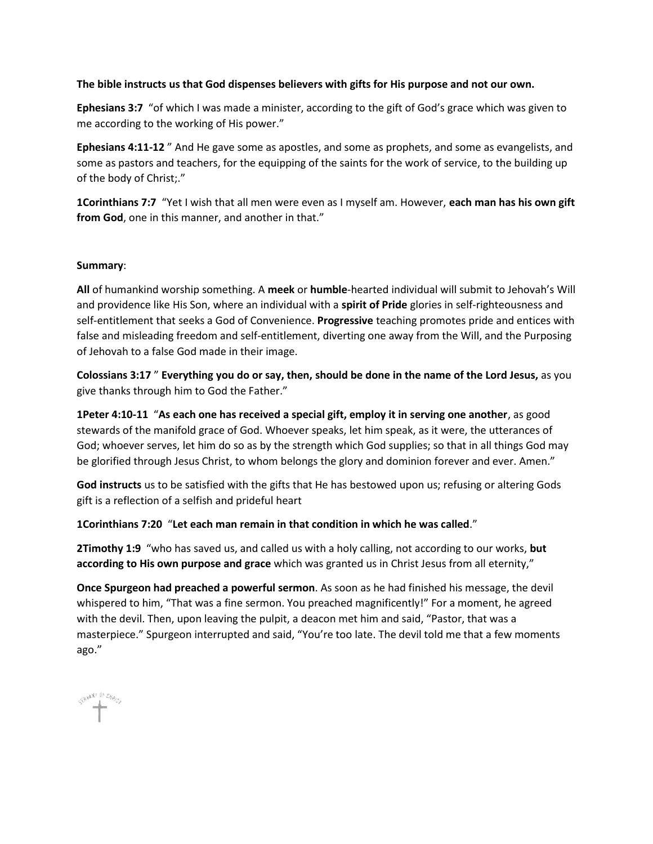#### **The bible instructs us that God dispenses believers with gifts for His purpose and not our own.**

**Ephesians 3:7** "of which I was made a minister, according to the gift of God's grace which was given to me according to the working of His power."

**Ephesians 4:11-12** " And He gave some as apostles, and some as prophets, and some as evangelists, and some as pastors and teachers, for the equipping of the saints for the work of service, to the building up of the body of Christ;."

**1Corinthians 7:7** "Yet I wish that all men were even as I myself am. However, **each man has his own gift from God**, one in this manner, and another in that."

#### **Summary**:

**All** of humankind worship something. A **meek** or **humble**-hearted individual will submit to Jehovah's Will and providence like His Son, where an individual with a **spirit of Pride** glories in self-righteousness and self-entitlement that seeks a God of Convenience. **Progressive** teaching promotes pride and entices with false and misleading freedom and self-entitlement, diverting one away from the Will, and the Purposing of Jehovah to a false God made in their image.

**Colossians 3:17** " **Everything you do or say, then, should be done in the name of the Lord Jesus,** as you give thanks through him to God the Father."

**1Peter 4:10-11** "**As each one has received a special gift, employ it in serving one another**, as good stewards of the manifold grace of God. Whoever speaks, let him speak, as it were, the utterances of God; whoever serves, let him do so as by the strength which God supplies; so that in all things God may be glorified through Jesus Christ, to whom belongs the glory and dominion forever and ever. Amen."

**God instructs** us to be satisfied with the gifts that He has bestowed upon us; refusing or altering Gods gift is a reflection of a selfish and prideful heart

**1Corinthians 7:20** "**Let each man remain in that condition in which he was called**."

**2Timothy 1:9** "who has saved us, and called us with a holy calling, not according to our works, **but according to His own purpose and grace** which was granted us in Christ Jesus from all eternity,"

**Once Spurgeon had preached a powerful sermon**. As soon as he had finished his message, the devil whispered to him, "That was a fine sermon. You preached magnificently!" For a moment, he agreed with the devil. Then, upon leaving the pulpit, a deacon met him and said, "Pastor, that was a masterpiece." Spurgeon interrupted and said, "You're too late. The devil told me that a few moments ago."

SHANT IN Diggs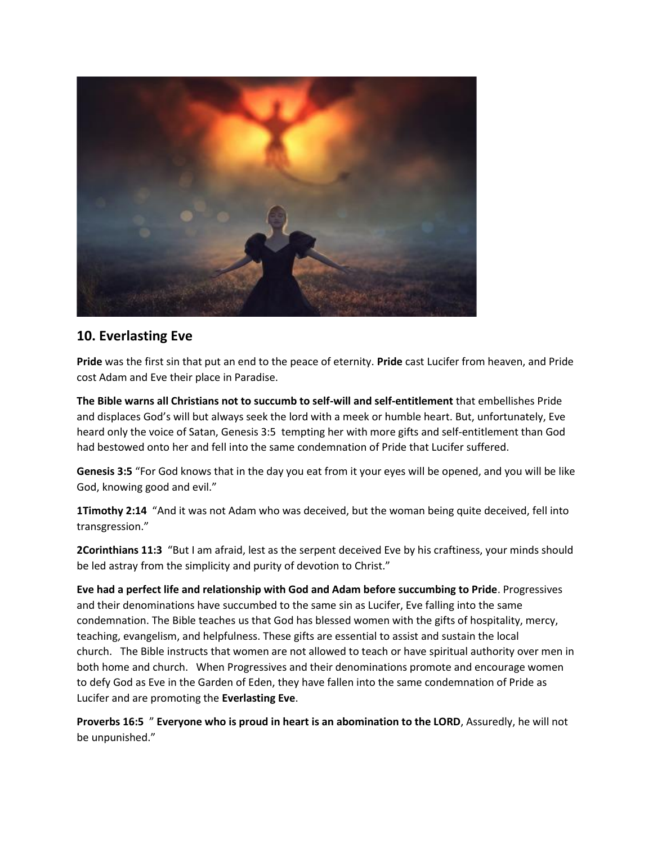

# **10. Everlasting Eve**

**Pride** was the first sin that put an end to the peace of eternity. **Pride** cast Lucifer from heaven, and Pride cost Adam and Eve their place in Paradise.

**The Bible warns all Christians not to succumb to self-will and self-entitlement** that embellishes Pride and displaces God's will but always seek the lord with a meek or humble heart. But, unfortunately, Eve heard only the voice of Satan, Genesis 3:5 tempting her with more gifts and self-entitlement than God had bestowed onto her and fell into the same condemnation of Pride that Lucifer suffered.

**Genesis 3:5** "For God knows that in the day you eat from it your eyes will be opened, and you will be like God, knowing good and evil."

**1Timothy 2:14** "And it was not Adam who was deceived, but the woman being quite deceived, fell into transgression."

**2Corinthians 11:3** "But I am afraid, lest as the serpent deceived Eve by his craftiness, your minds should be led astray from the simplicity and purity of devotion to Christ."

**Eve had a perfect life and relationship with God and Adam before succumbing to Pride**. Progressives and their denominations have succumbed to the same sin as Lucifer, Eve falling into the same condemnation. The Bible teaches us that God has blessed women with the gifts of hospitality, mercy, teaching, evangelism, and helpfulness. These gifts are essential to assist and sustain the local church. The Bible instructs that women are not allowed to teach or have spiritual authority over men in both home and church. When Progressives and their denominations promote and encourage women to defy God as Eve in the Garden of Eden, they have fallen into the same condemnation of Pride as Lucifer and are promoting the **Everlasting Eve**.

**Proverbs 16:5** " **Everyone who is proud in heart is an abomination to the LORD**, Assuredly, he will not be unpunished."